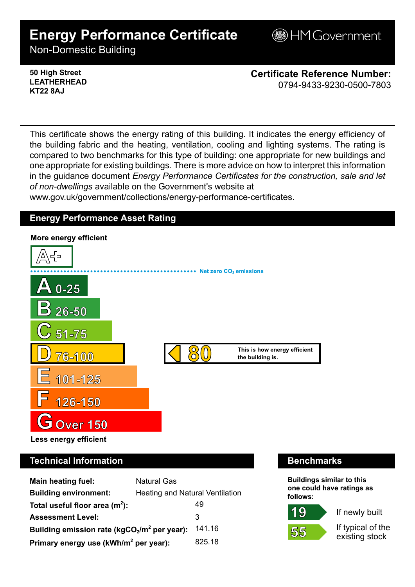# **Energy Performance Certificate**

**BHM Government** 

Non-Domestic Building

### **50 High Street LEATHERHEAD KT22 8AJ**

**Certificate Reference Number:** 0794-9433-9230-0500-7803

This certificate shows the energy rating of this building. It indicates the energy efficiency of the building fabric and the heating, ventilation, cooling and lighting systems. The rating is compared to two benchmarks for this type of building: one appropriate for new buildings and one appropriate for existing buildings. There is more advice on how to interpret this information in the guidance document *Energy Performance Certificates for the construction, sale and let of non-dwellings* available on the Government's website at

www.gov.uk/government/collections/energy-performance-certificates.

# **Energy Performance Asset Rating**



# **Technical Information Benchmarks**

| <b>Main heating fuel:</b>                         | <b>Natural Gas</b>                     |        |
|---------------------------------------------------|----------------------------------------|--------|
| <b>Building environment:</b>                      | <b>Heating and Natural Ventilation</b> |        |
| Total useful floor area $(m2)$ :                  |                                        | 49     |
| <b>Assessment Level:</b>                          |                                        | 3      |
| Building emission rate ( $kgCO2/m2$ per year):    |                                        | 141.16 |
| Primary energy use (kWh/m <sup>2</sup> per year): |                                        | 825.18 |

**Buildings similar to this one could have ratings as follows:**



If newly built

If typical of the existing stock